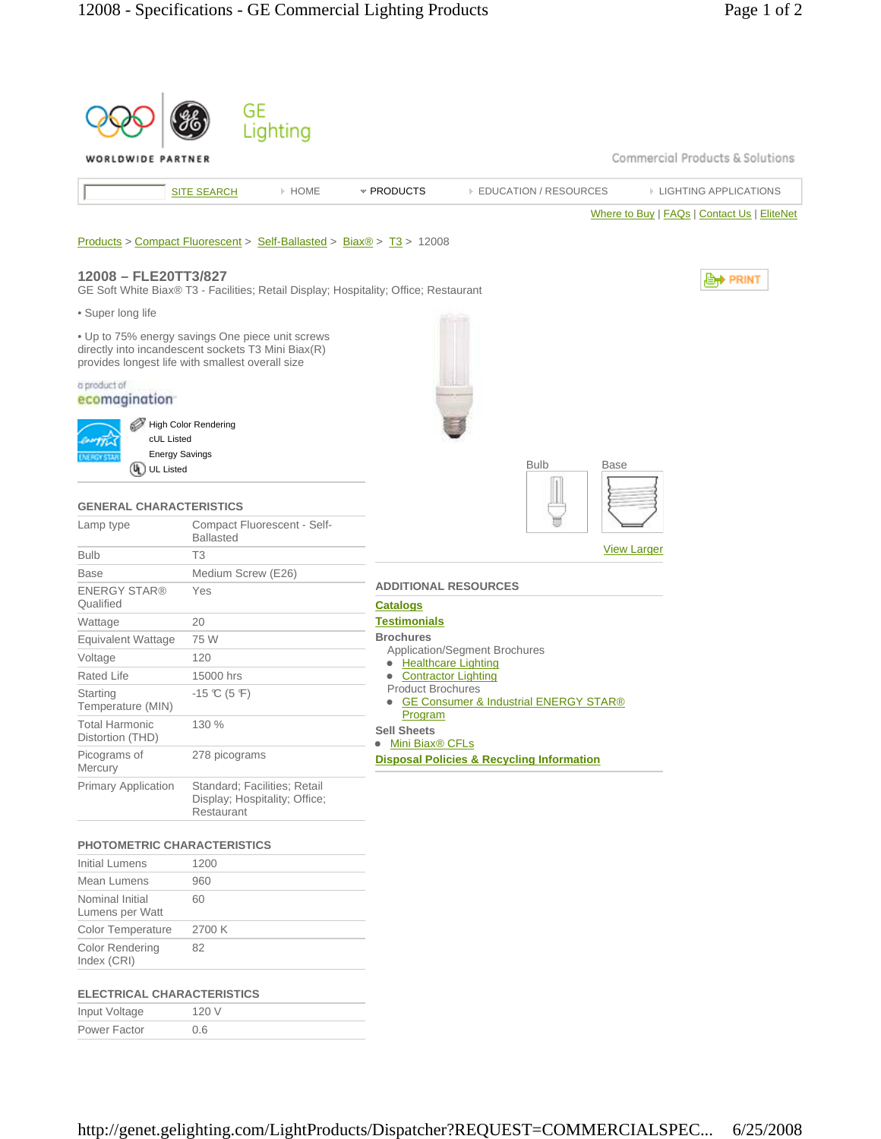